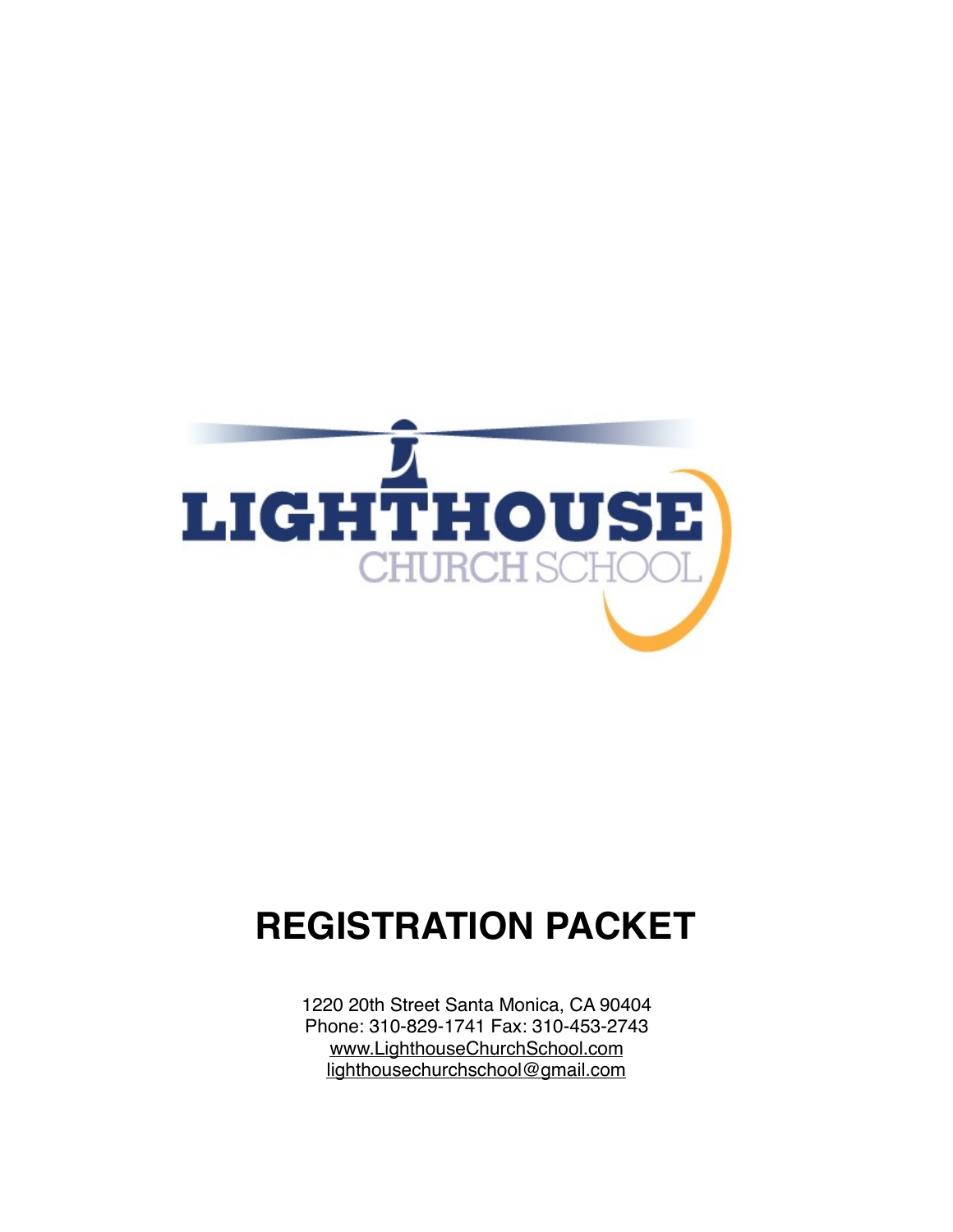

# **REGISTRATION PACKET**

1220 20th Street Santa Monica, CA 90404 Phone: 310-829-1741 Fax: 310-453-2743 [www.LighthouseChurchSchool.com](http://www.LighthouseChurchSchool.com) [lighthousechurchschool@gmail.com](mailto:lighthousechurchschool@gmail.com)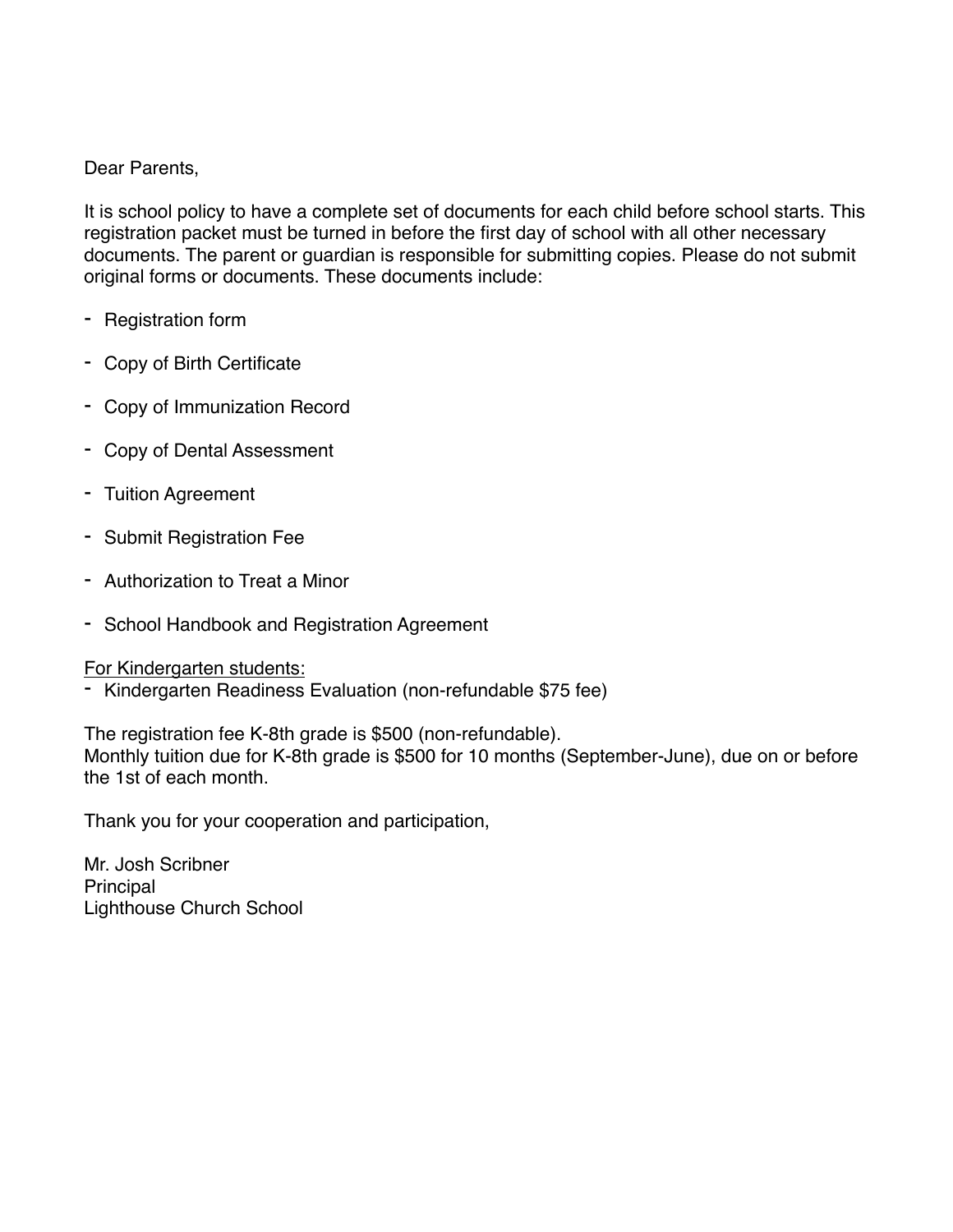Dear Parents,

It is school policy to have a complete set of documents for each child before school starts. This registration packet must be turned in before the first day of school with all other necessary documents. The parent or guardian is responsible for submitting copies. Please do not submit original forms or documents. These documents include:

- Registration form
- Copy of Birth Certificate
- Copy of Immunization Record
- Copy of Dental Assessment
- Tuition Agreement
- Submit Registration Fee
- Authorization to Treat a Minor
- School Handbook and Registration Agreement

#### For Kindergarten students:

- Kindergarten Readiness Evaluation (non-refundable \$75 fee)

The registration fee K-8th grade is \$500 (non-refundable). Monthly tuition due for K-8th grade is \$500 for 10 months (September-June), due on or before the 1st of each month.

Thank you for your cooperation and participation,

Mr. Josh Scribner Principal Lighthouse Church School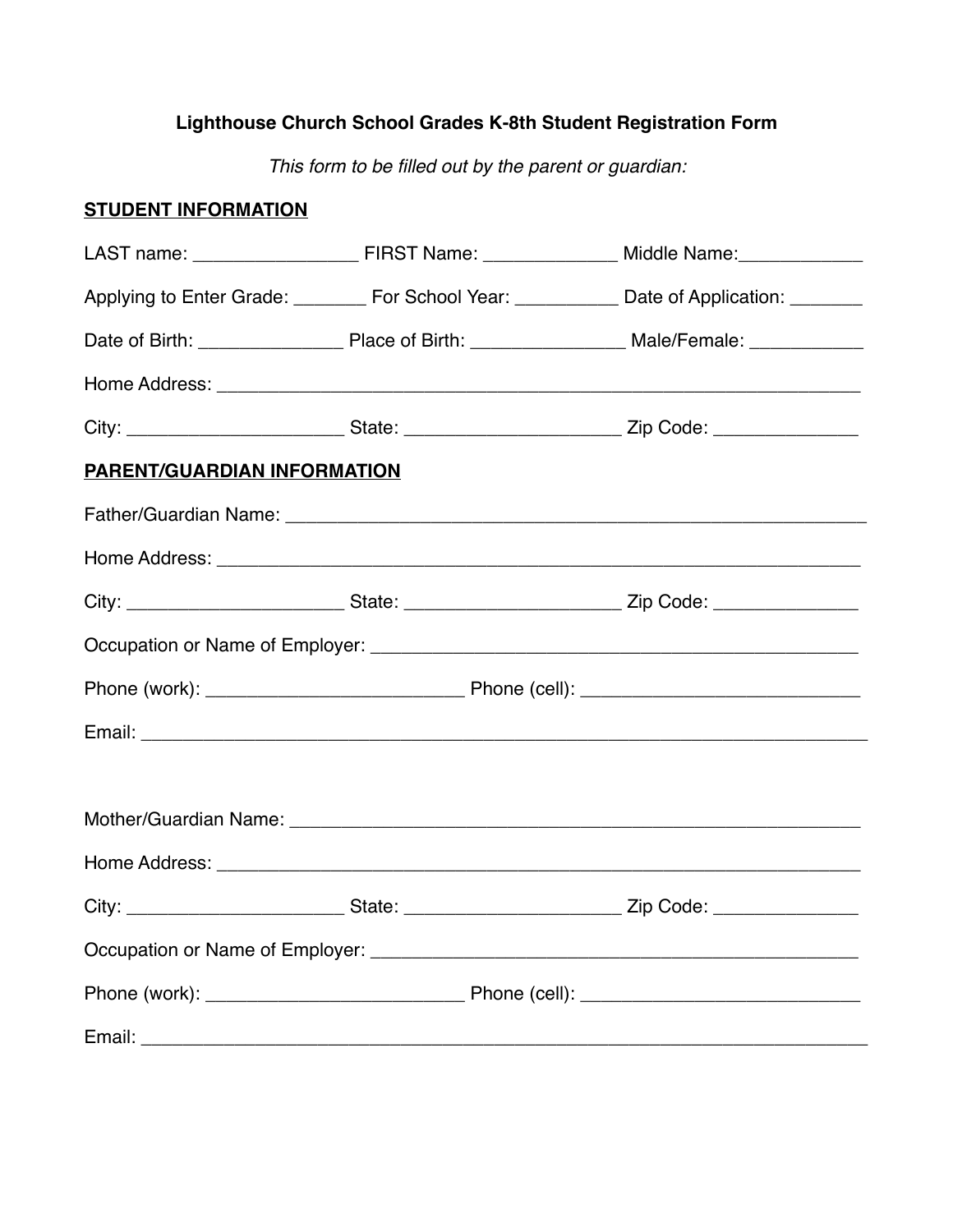# **Lighthouse Church School Grades K-8th Student Registration Form**

*This form to be filled out by the parent or guardian:*

# **STUDENT INFORMATION**

|                                    | Applying to Enter Grade: ________ For School Year: __________ Date of Application: _______                     |  |
|------------------------------------|----------------------------------------------------------------------------------------------------------------|--|
|                                    |                                                                                                                |  |
|                                    |                                                                                                                |  |
|                                    | City: ________________________________State: ___________________________________Zip Code: ____________________ |  |
| <b>PARENT/GUARDIAN INFORMATION</b> |                                                                                                                |  |
|                                    |                                                                                                                |  |
|                                    |                                                                                                                |  |
|                                    |                                                                                                                |  |
|                                    |                                                                                                                |  |
|                                    |                                                                                                                |  |
|                                    |                                                                                                                |  |
|                                    |                                                                                                                |  |
|                                    |                                                                                                                |  |
|                                    |                                                                                                                |  |
|                                    | City: ________________________________State: ___________________________________Zip Code: ____________________ |  |
|                                    |                                                                                                                |  |
|                                    |                                                                                                                |  |
|                                    |                                                                                                                |  |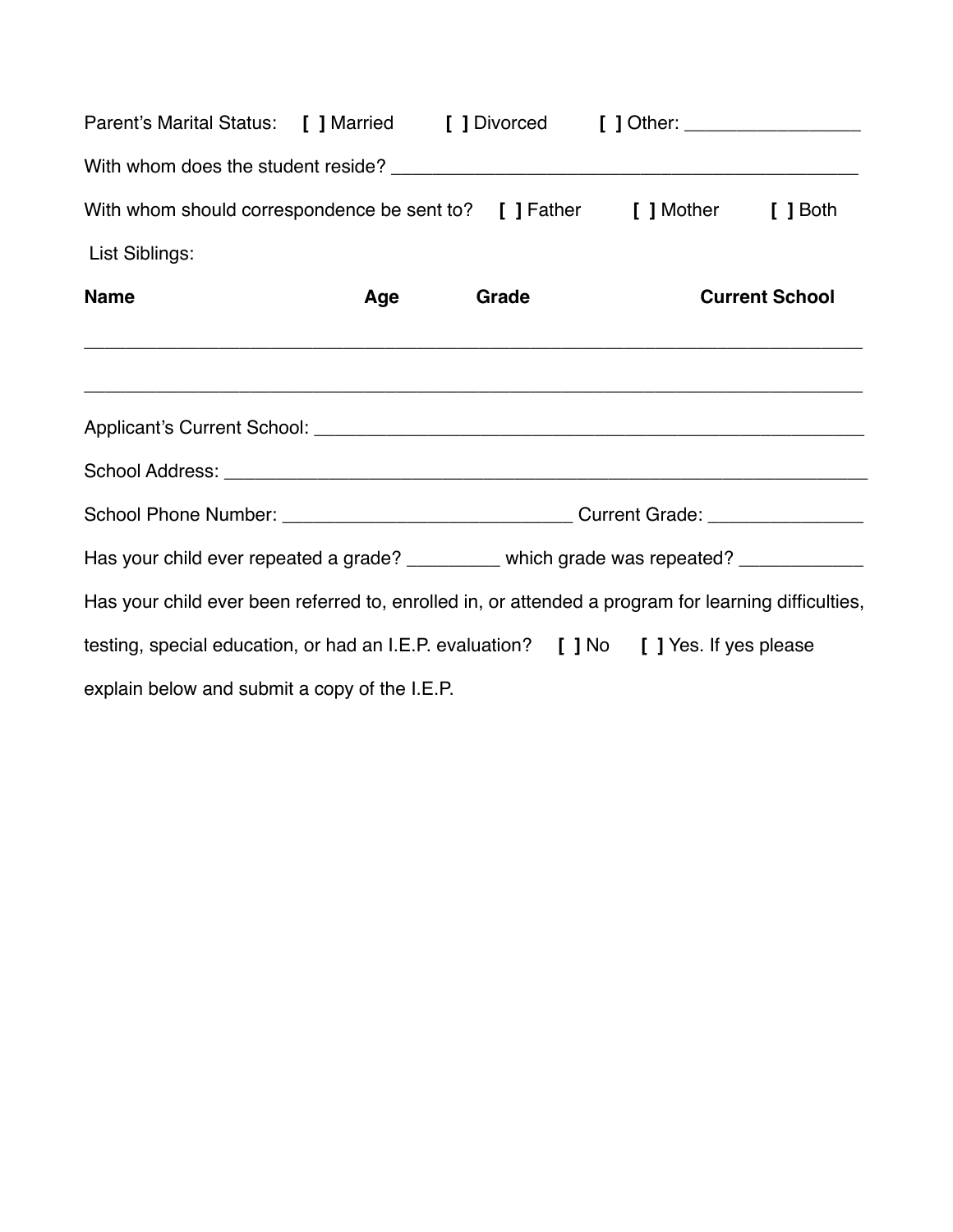| Parent's Marital Status: [ ] Married [ ] Divorced [ ] Other: ___________________                    |     |       |                       |
|-----------------------------------------------------------------------------------------------------|-----|-------|-----------------------|
|                                                                                                     |     |       |                       |
| With whom should correspondence be sent to? [ ] Father [ ] Mother [ ] Both                          |     |       |                       |
| List Siblings:                                                                                      |     |       |                       |
| <b>Name</b>                                                                                         | Age | Grade | <b>Current School</b> |
|                                                                                                     |     |       |                       |
|                                                                                                     |     |       |                       |
|                                                                                                     |     |       |                       |
| Has your child ever repeated a grade? ________ which grade was repeated? ____________               |     |       |                       |
| Has your child ever been referred to, enrolled in, or attended a program for learning difficulties, |     |       |                       |
| testing, special education, or had an I.E.P. evaluation? [ ] No [ ] Yes. If yes please              |     |       |                       |
| explain below and submit a copy of the I.E.P.                                                       |     |       |                       |
|                                                                                                     |     |       |                       |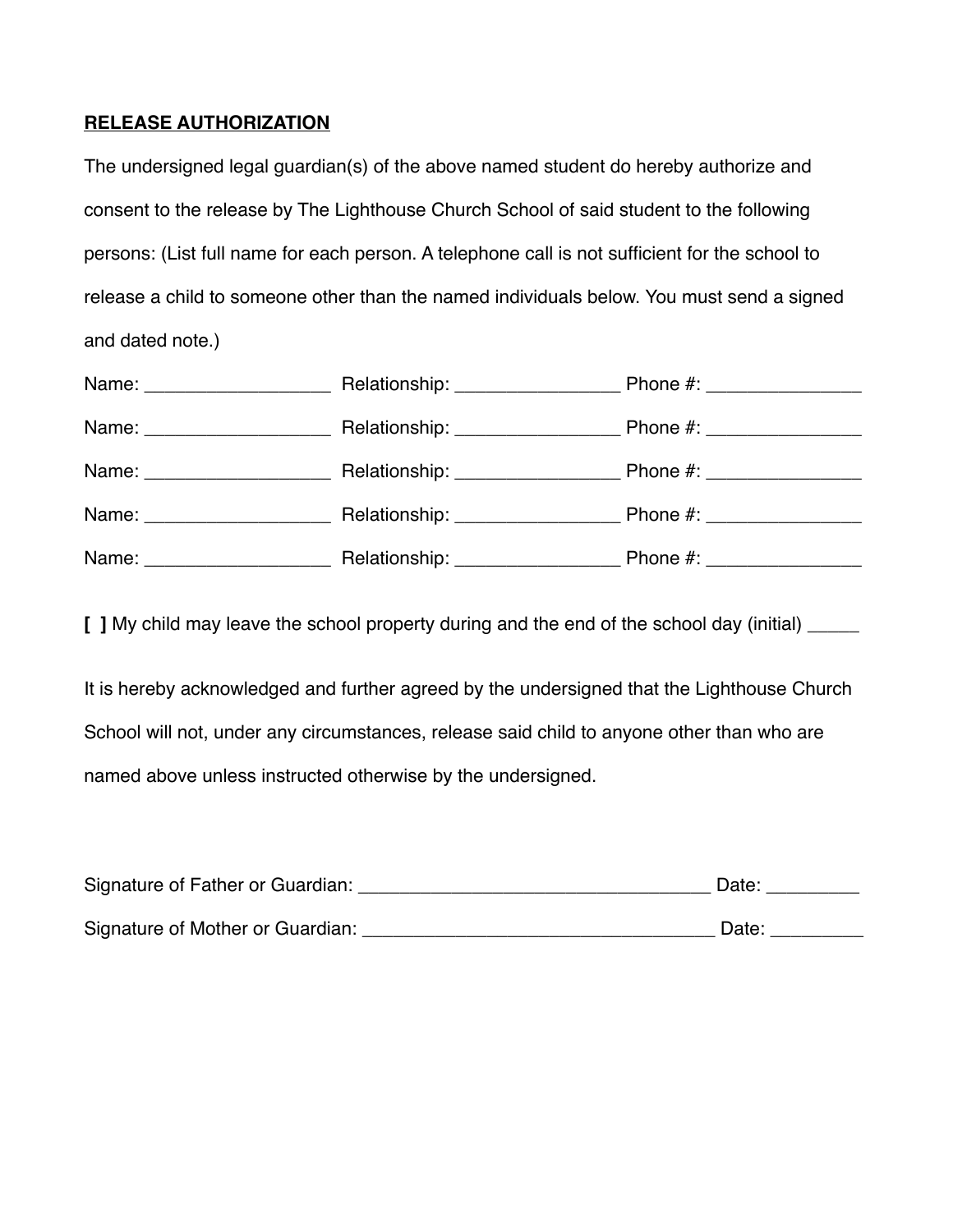### **RELEASE AUTHORIZATION**

The undersigned legal guardian(s) of the above named student do hereby authorize and consent to the release by The Lighthouse Church School of said student to the following persons: (List full name for each person. A telephone call is not sufficient for the school to release a child to someone other than the named individuals below. You must send a signed and dated note.)

| Name: ______________________   | Relationship: ___________________                                                                                                                                                                                             | Phone #: ___________________ |
|--------------------------------|-------------------------------------------------------------------------------------------------------------------------------------------------------------------------------------------------------------------------------|------------------------------|
| Name: _______________________  |                                                                                                                                                                                                                               | Phone #: ___________________ |
| Name: _______________________  | Relationship: ___________________                                                                                                                                                                                             | Phone #: ___________________ |
| Name: ________________________ |                                                                                                                                                                                                                               | Phone #: ___________________ |
|                                | Name: Name: Name: Name: Name: Name: Name: Name: Name: Name: Name: Name: Name: Name: Name: Name: Name: Name: Name: Name: Name: Name: Name: Name: Name: Name: Name: Name: Name: Name: Name: Name: Name: Name: Name: Name: Name: | Phone #: ________________    |

**[ ]** My child may leave the school property during and the end of the school day (initial) \_\_\_\_\_

It is hereby acknowledged and further agreed by the undersigned that the Lighthouse Church School will not, under any circumstances, release said child to anyone other than who are named above unless instructed otherwise by the undersigned.

| Signature of Father or Guardian: | Date: |
|----------------------------------|-------|
| Signature of Mother or Guardian: | Date: |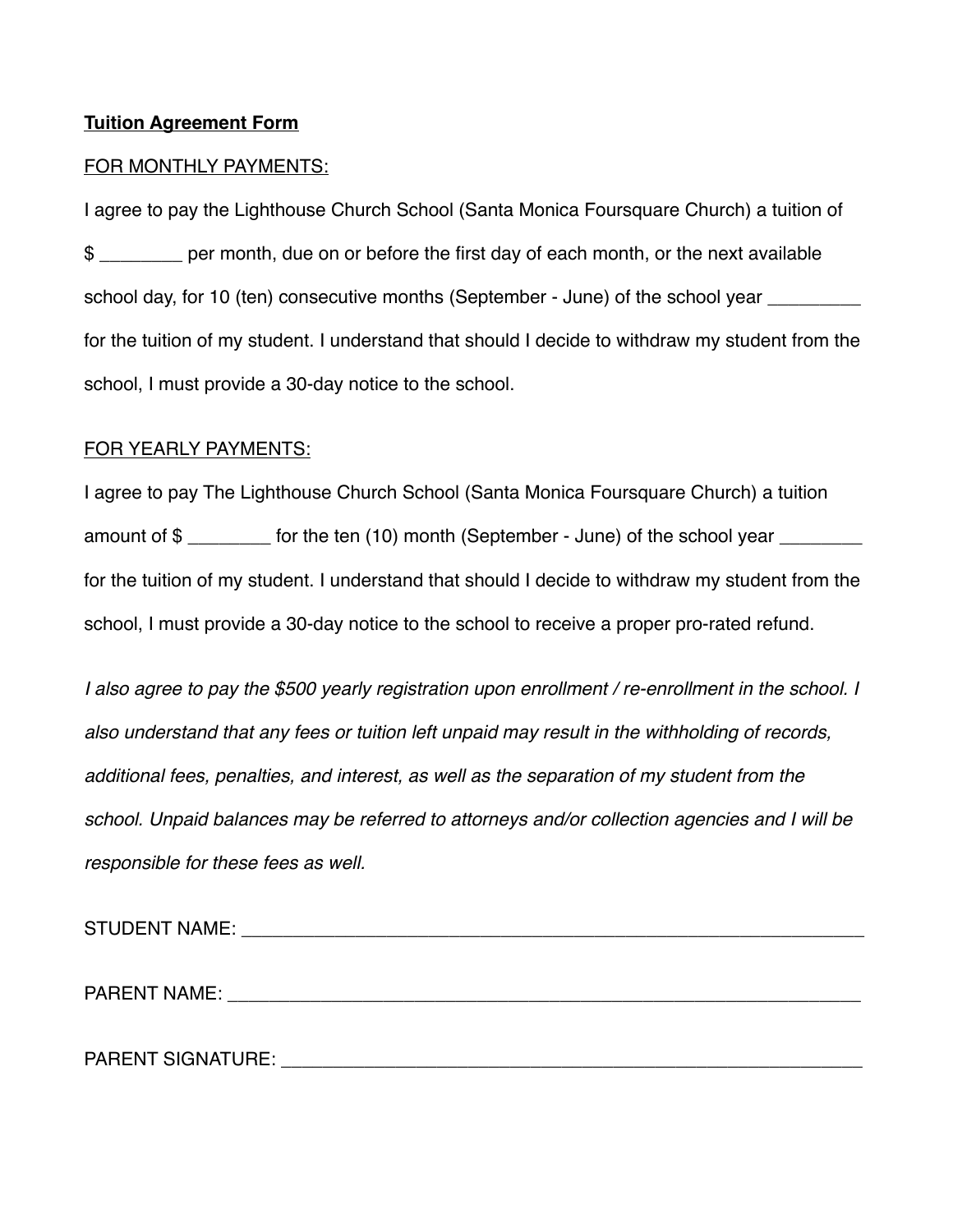#### **Tuition Agreement Form**

#### FOR MONTHLY PAYMENTS:

I agree to pay the Lighthouse Church School (Santa Monica Foursquare Church) a tuition of \$ \_\_\_\_\_\_\_\_ per month, due on or before the first day of each month, or the next available school day, for 10 (ten) consecutive months (September - June) of the school year \_\_\_\_\_\_\_\_ for the tuition of my student. I understand that should I decide to withdraw my student from the school, I must provide a 30-day notice to the school.

#### FOR YEARLY PAYMENTS:

I agree to pay The Lighthouse Church School (Santa Monica Foursquare Church) a tuition amount of \$ for the tuition of my student. I understand that should I decide to withdraw my student from the school, I must provide a 30-day notice to the school to receive a proper pro-rated refund.

*I also agree to pay the \$500 yearly registration upon enrollment / re-enrollment in the school. I also understand that any fees or tuition left unpaid may result in the withholding of records, additional fees, penalties, and interest, as well as the separation of my student from the school. Unpaid balances may be referred to attorneys and/or collection agencies and I will be responsible for these fees as well.*

STUDENT NAME: with a state of the state of the state of the state of the state of the state of the state of the state of the state of the state of the state of the state of the state of the state of the state of the state

PARENT NAME: \_\_\_\_\_\_\_\_\_\_\_\_\_\_\_\_\_\_\_\_\_\_\_\_\_\_\_\_\_\_\_\_\_\_\_\_\_\_\_\_\_\_\_\_\_\_\_\_\_\_\_\_\_\_\_\_\_\_\_\_\_

PARENT SIGNATURE: \_\_\_\_\_\_\_\_\_\_\_\_\_\_\_\_\_\_\_\_\_\_\_\_\_\_\_\_\_\_\_\_\_\_\_\_\_\_\_\_\_\_\_\_\_\_\_\_\_\_\_\_\_\_\_\_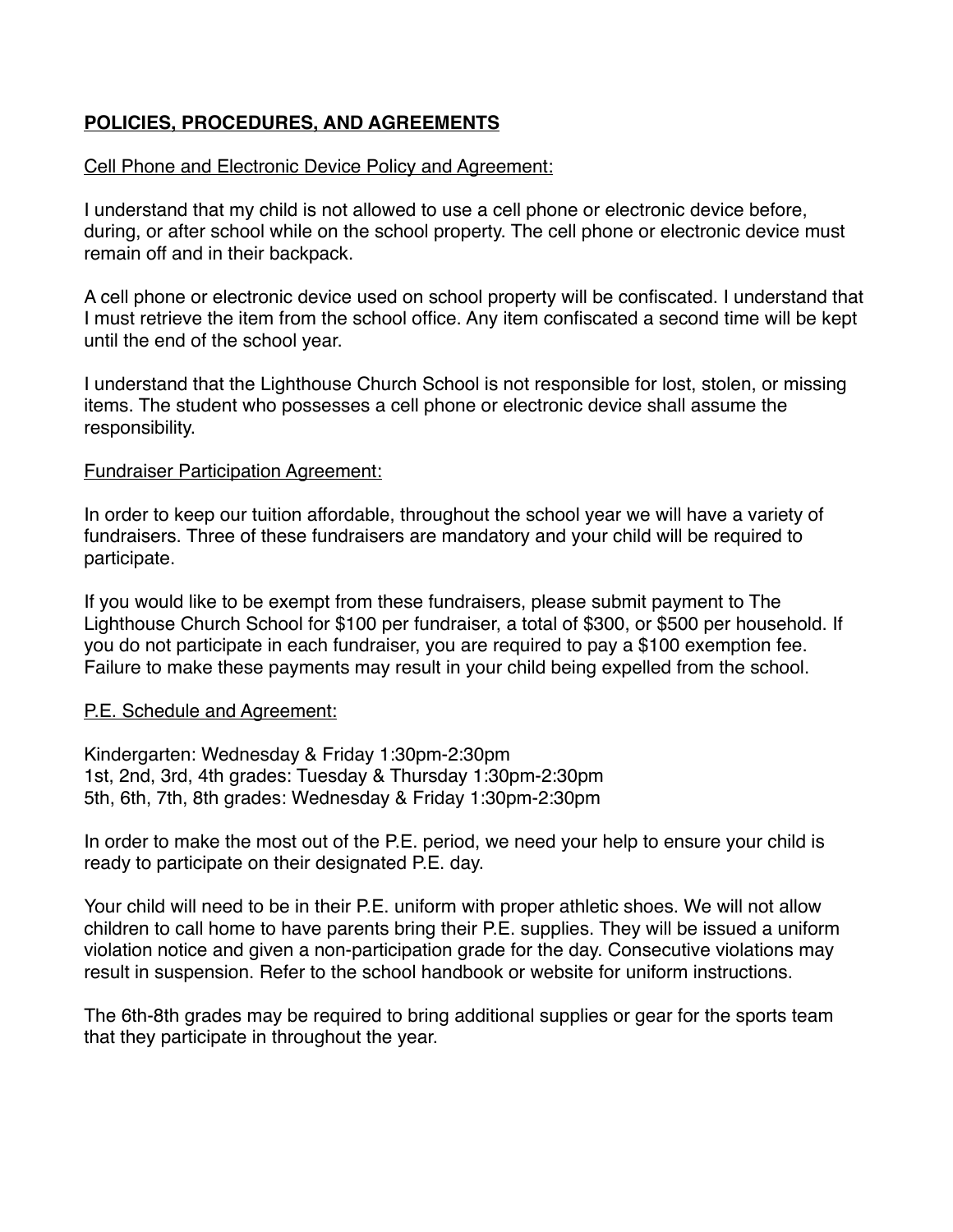## **POLICIES, PROCEDURES, AND AGREEMENTS**

#### Cell Phone and Electronic Device Policy and Agreement:

I understand that my child is not allowed to use a cell phone or electronic device before, during, or after school while on the school property. The cell phone or electronic device must remain off and in their backpack.

A cell phone or electronic device used on school property will be confiscated. I understand that I must retrieve the item from the school office. Any item confiscated a second time will be kept until the end of the school year.

I understand that the Lighthouse Church School is not responsible for lost, stolen, or missing items. The student who possesses a cell phone or electronic device shall assume the responsibility.

#### Fundraiser Participation Agreement:

In order to keep our tuition affordable, throughout the school year we will have a variety of fundraisers. Three of these fundraisers are mandatory and your child will be required to participate.

If you would like to be exempt from these fundraisers, please submit payment to The Lighthouse Church School for \$100 per fundraiser, a total of \$300, or \$500 per household. If you do not participate in each fundraiser, you are required to pay a \$100 exemption fee. Failure to make these payments may result in your child being expelled from the school.

#### P.E. Schedule and Agreement:

Kindergarten: Wednesday & Friday 1:30pm-2:30pm 1st, 2nd, 3rd, 4th grades: Tuesday & Thursday 1:30pm-2:30pm 5th, 6th, 7th, 8th grades: Wednesday & Friday 1:30pm-2:30pm

In order to make the most out of the P.E. period, we need your help to ensure your child is ready to participate on their designated P.E. day.

Your child will need to be in their P.E. uniform with proper athletic shoes. We will not allow children to call home to have parents bring their P.E. supplies. They will be issued a uniform violation notice and given a non-participation grade for the day. Consecutive violations may result in suspension. Refer to the school handbook or website for uniform instructions.

The 6th-8th grades may be required to bring additional supplies or gear for the sports team that they participate in throughout the year.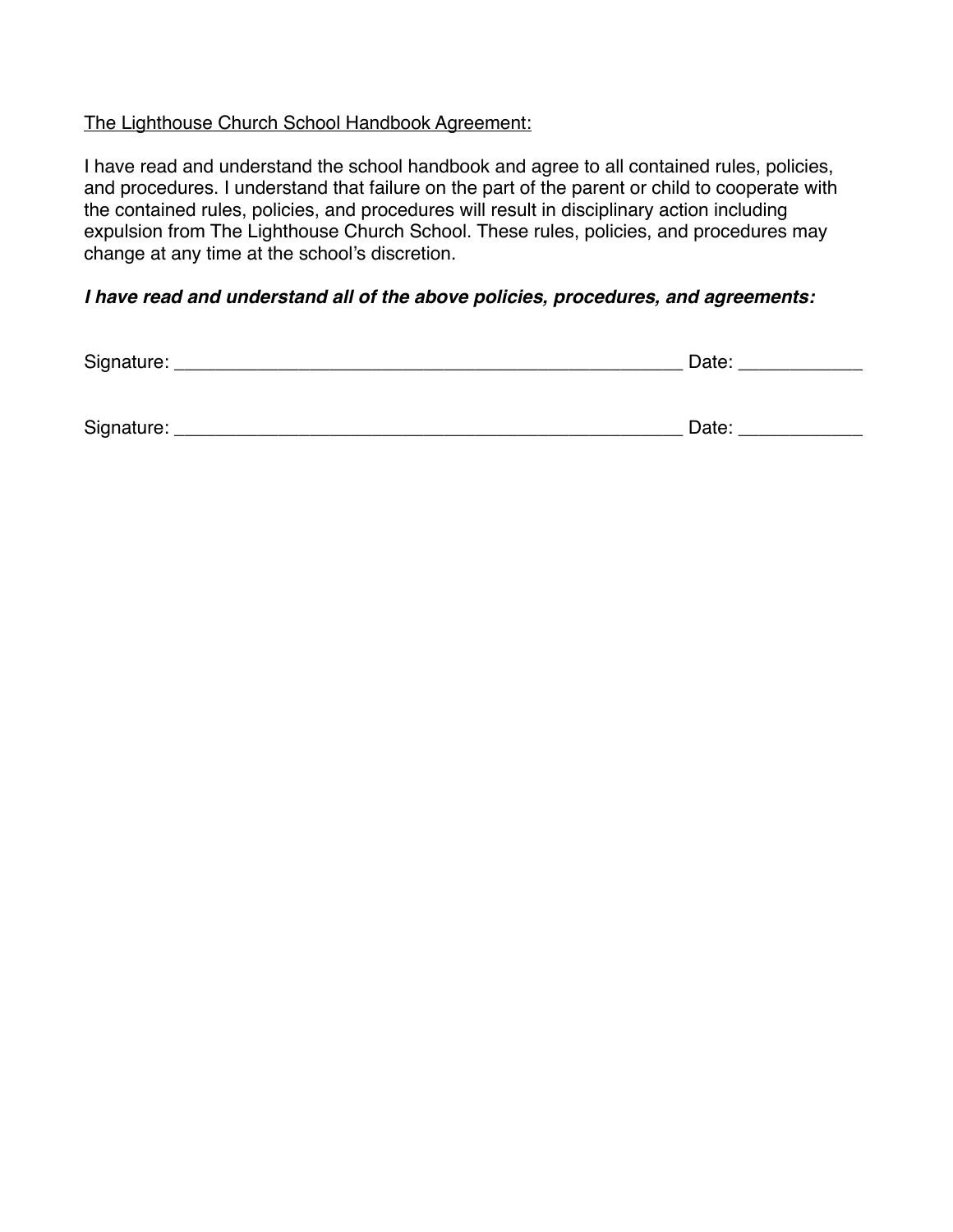# The Lighthouse Church School Handbook Agreement:

I have read and understand the school handbook and agree to all contained rules, policies, and procedures. I understand that failure on the part of the parent or child to cooperate with the contained rules, policies, and procedures will result in disciplinary action including expulsion from The Lighthouse Church School. These rules, policies, and procedures may change at any time at the school's discretion.

## *I have read and understand all of the above policies, procedures, and agreements:*

| Signature: | Date: |  |  |
|------------|-------|--|--|
|            |       |  |  |
|            |       |  |  |
| Signature: | Date: |  |  |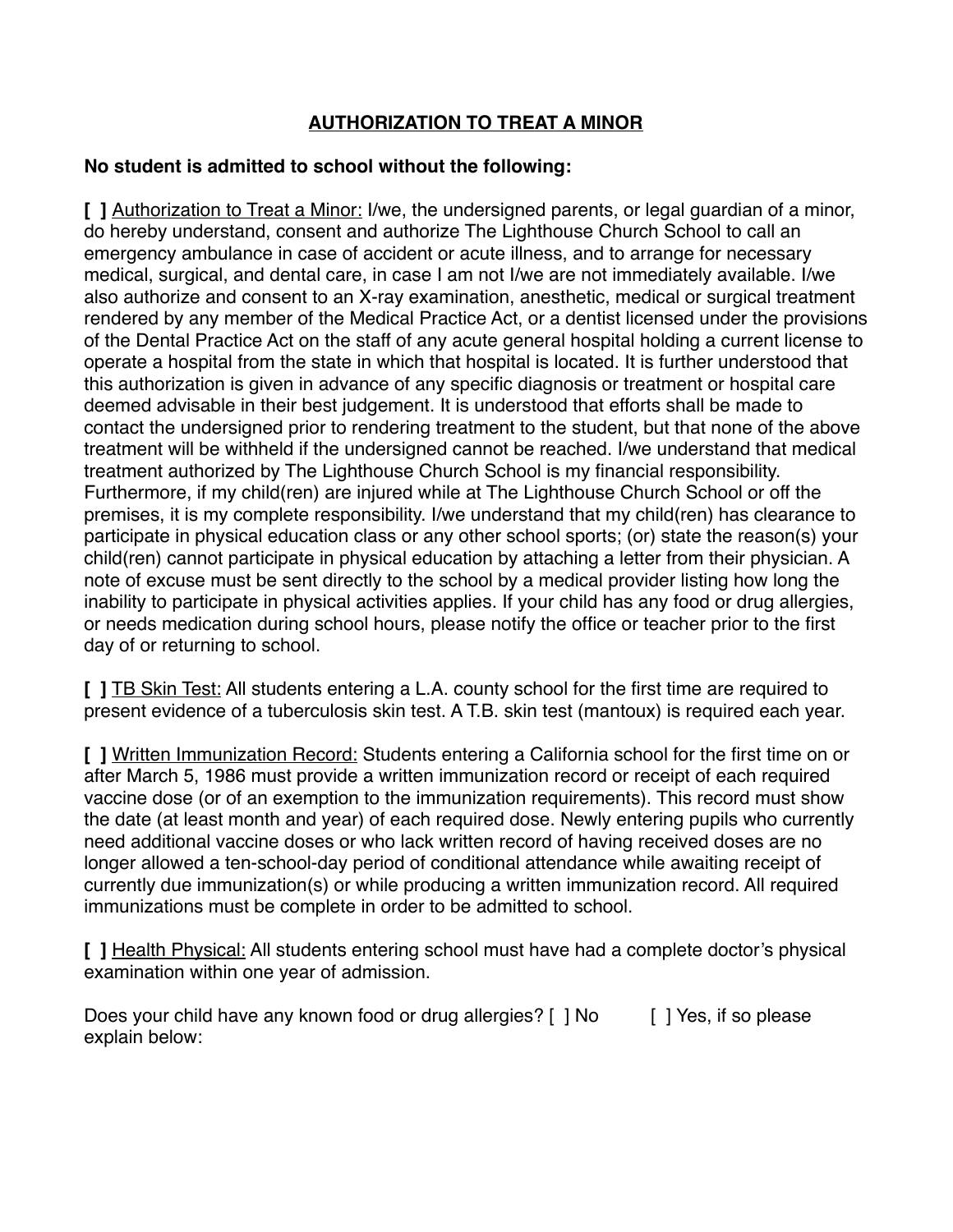# **AUTHORIZATION TO TREAT A MINOR**

## **No student is admitted to school without the following:**

**[ ]** Authorization to Treat a Minor: I/we, the undersigned parents, or legal guardian of a minor, do hereby understand, consent and authorize The Lighthouse Church School to call an emergency ambulance in case of accident or acute illness, and to arrange for necessary medical, surgical, and dental care, in case I am not I/we are not immediately available. I/we also authorize and consent to an X-ray examination, anesthetic, medical or surgical treatment rendered by any member of the Medical Practice Act, or a dentist licensed under the provisions of the Dental Practice Act on the staff of any acute general hospital holding a current license to operate a hospital from the state in which that hospital is located. It is further understood that this authorization is given in advance of any specific diagnosis or treatment or hospital care deemed advisable in their best judgement. It is understood that efforts shall be made to contact the undersigned prior to rendering treatment to the student, but that none of the above treatment will be withheld if the undersigned cannot be reached. I/we understand that medical treatment authorized by The Lighthouse Church School is my financial responsibility. Furthermore, if my child(ren) are injured while at The Lighthouse Church School or off the premises, it is my complete responsibility. I/we understand that my child(ren) has clearance to participate in physical education class or any other school sports; (or) state the reason(s) your child(ren) cannot participate in physical education by attaching a letter from their physician. A note of excuse must be sent directly to the school by a medical provider listing how long the inability to participate in physical activities applies. If your child has any food or drug allergies, or needs medication during school hours, please notify the office or teacher prior to the first day of or returning to school.

**[ ]** TB Skin Test: All students entering a L.A. county school for the first time are required to present evidence of a tuberculosis skin test. A T.B. skin test (mantoux) is required each year.

**[ ]** Written Immunization Record: Students entering a California school for the first time on or after March 5, 1986 must provide a written immunization record or receipt of each required vaccine dose (or of an exemption to the immunization requirements). This record must show the date (at least month and year) of each required dose. Newly entering pupils who currently need additional vaccine doses or who lack written record of having received doses are no longer allowed a ten-school-day period of conditional attendance while awaiting receipt of currently due immunization(s) or while producing a written immunization record. All required immunizations must be complete in order to be admitted to school.

**[ ]** Health Physical: All students entering school must have had a complete doctor's physical examination within one year of admission.

Does your child have any known food or drug allergies? [ ] No [ ] Yes, if so please explain below: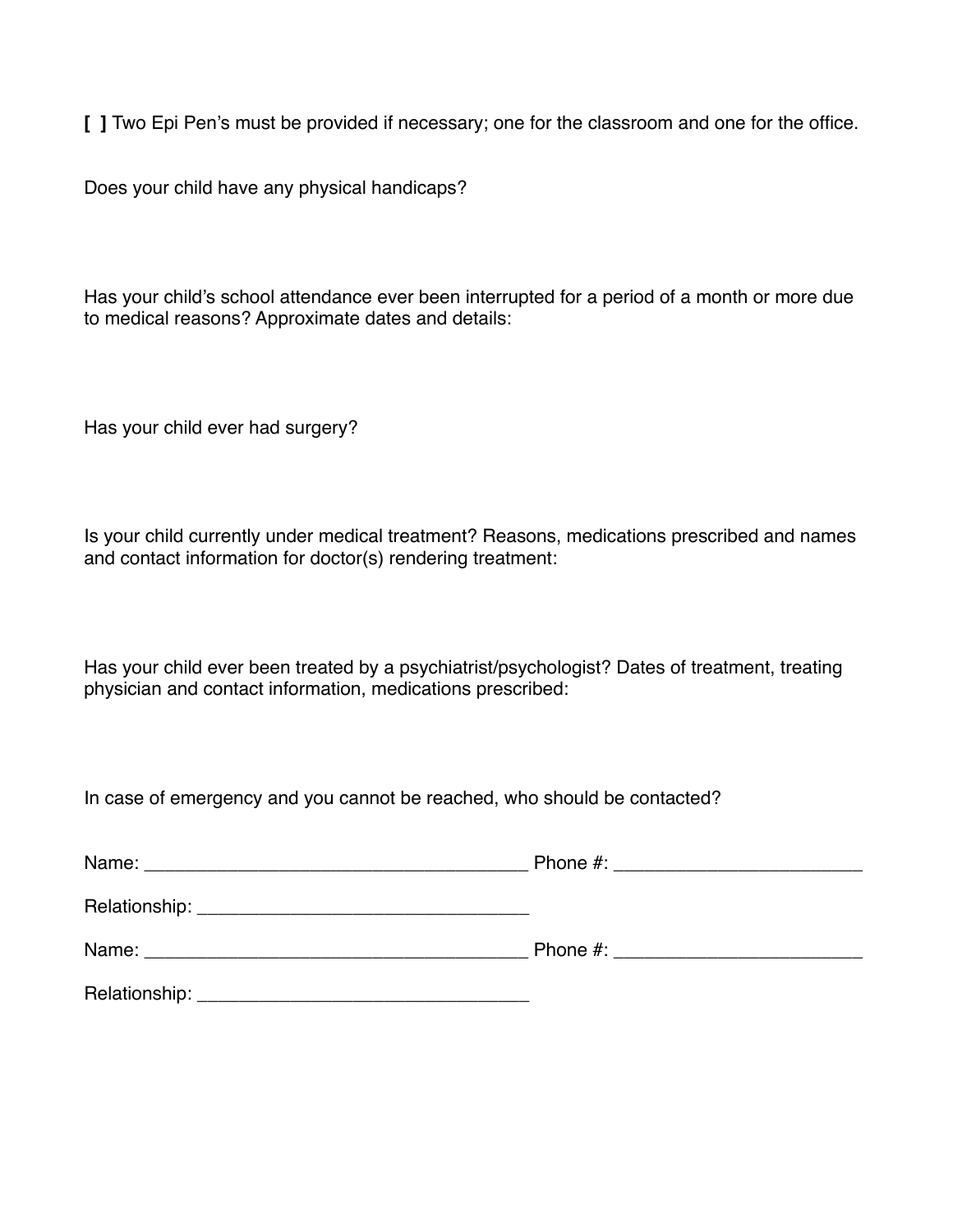**[ ]** Two Epi Pen's must be provided if necessary; one for the classroom and one for the office.

Does your child have any physical handicaps?

Has your child's school attendance ever been interrupted for a period of a month or more due to medical reasons? Approximate dates and details:

Has your child ever had surgery?

Is your child currently under medical treatment? Reasons, medications prescribed and names and contact information for doctor(s) rendering treatment:

Has your child ever been treated by a psychiatrist/psychologist? Dates of treatment, treating physician and contact information, medications prescribed:

In case of emergency and you cannot be reached, who should be contacted?